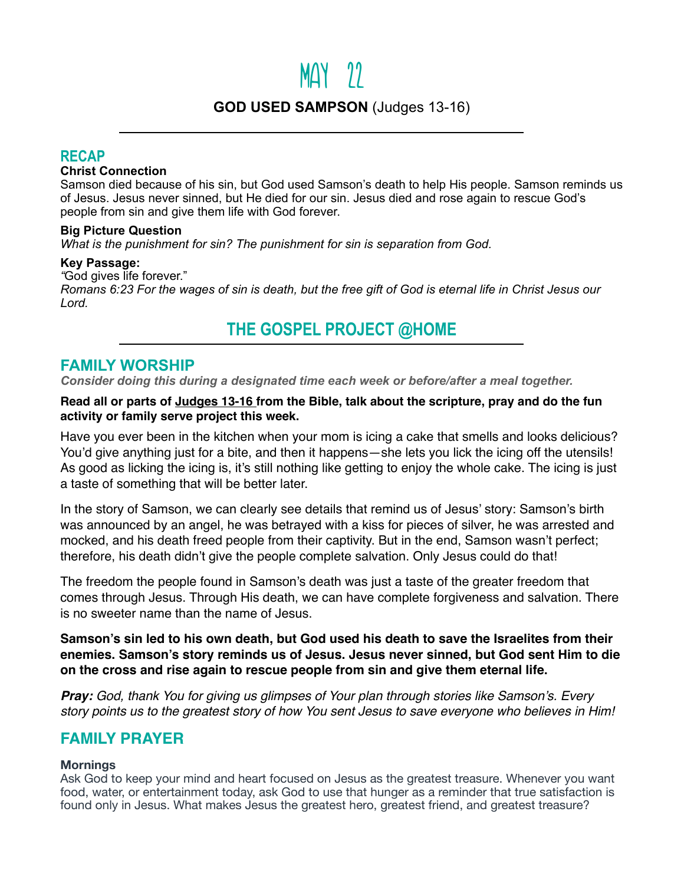# $MAY$  22

# **GOD USED SAMPSON** (Judges 13-16)

## **RECAP**

#### **Christ Connection**

Samson died because of his sin, but God used Samson's death to help His people. Samson reminds us of Jesus. Jesus never sinned, but He died for our sin. Jesus died and rose again to rescue God's people from sin and give them life with God forever.

#### **Big Picture Question**

*What is the punishment for sin? The punishment for sin is separation from God.*

#### **Key Passage:**

*"*God gives life forever."

*Romans 6:23 For the wages of sin is death, but the free gift of God is eternal life in Christ Jesus our Lord.*

# **THE GOSPEL PROJECT @HOME**

### **FAMILY WORSHIP**

*Consider doing this during a designated time each week or before/after a meal together.*

#### **Read all or parts of Judges 13-16 from the Bible, talk about the scripture, pray and do the fun activity or family serve project this week.**

Have you ever been in the kitchen when your mom is icing a cake that smells and looks delicious? You'd give anything just for a bite, and then it happens—she lets you lick the icing off the utensils! As good as licking the icing is, it's still nothing like getting to enjoy the whole cake. The icing is just a taste of something that will be better later.

In the story of Samson, we can clearly see details that remind us of Jesus' story: Samson's birth was announced by an angel, he was betrayed with a kiss for pieces of silver, he was arrested and mocked, and his death freed people from their captivity. But in the end, Samson wasn't perfect; therefore, his death didn't give the people complete salvation. Only Jesus could do that!

The freedom the people found in Samson's death was just a taste of the greater freedom that comes through Jesus. Through His death, we can have complete forgiveness and salvation. There is no sweeter name than the name of Jesus.

**Samson's sin led to his own death, but God used his death to save the Israelites from their enemies. Samson's story reminds us of Jesus. Jesus never sinned, but God sent Him to die on the cross and rise again to rescue people from sin and give them eternal life.** 

*Pray: God, thank You for giving us glimpses of Your plan through stories like Samson's. Every story points us to the greatest story of how You sent Jesus to save everyone who believes in Him!* 

# **FAMILY PRAYER**

#### **Mornings**

Ask God to keep your mind and heart focused on Jesus as the greatest treasure. Whenever you want food, water, or entertainment today, ask God to use that hunger as a reminder that true satisfaction is found only in Jesus. What makes Jesus the greatest hero, greatest friend, and greatest treasure?